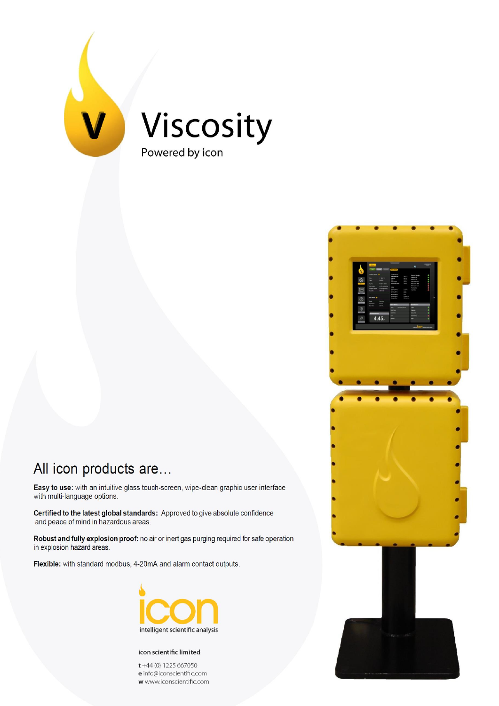

## All icon products are...

Easy to use: with an intuitive glass touch-screen, wipe-clean graphic user interface with multi-language options.

Certified to the latest global standards: Approved to give absolute confidence and peace of mind in hazardous areas.

Robust and fully explosion proof: no air or inert gas purging required for safe operation in explosion hazard areas.

Flexible: with standard modbus, 4-20mA and alarm contact outputs.



#### icon scientific limited

 $t +44$  (0) 1225 667050  ${\bf e}$  info@iconscientific.com w www.iconscientific.com

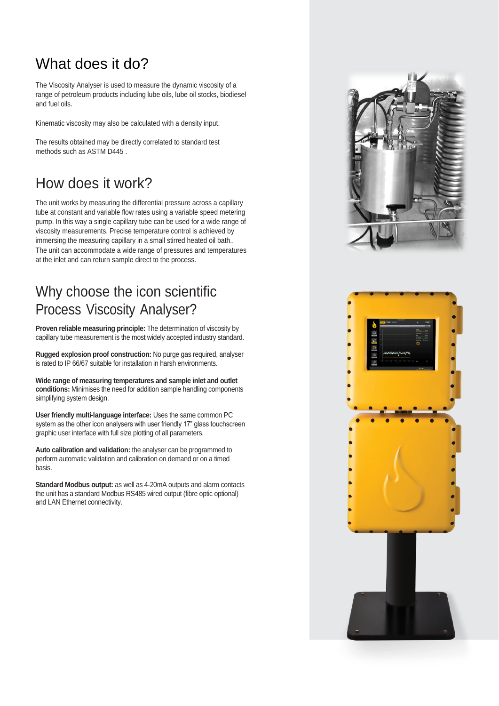## What does it do?

The Viscosity Analyser is used to measure the dynamic viscosity of a range of petroleum products including lube oils, lube oil stocks, biodiesel and fuel oils.

Kinematic viscosity may also be calculated with a density input.

The results obtained may be directly correlated to standard test methods such as ASTM D445 .

### How does it work?

The unit works by measuring the differential pressure across a capillary tube at constant and variable flow rates using a variable speed metering pump. In this way a single capillary tube can be used for a wide range of viscosity measurements. Precise temperature control is achieved by immersing the measuring capillary in a small stirred heated oil bath.. The unit can accommodate a wide range of pressures and temperatures at the inlet and can return sample direct to the process.

## Why choose the icon scientific Process Viscosity Analyser?

**Proven reliable measuring principle:** The determination of viscosity by capillary tube measurement is the most widely accepted industry standard.

**Rugged explosion proof construction:** No purge gas required, analyser is rated to IP 66/67 suitable for installation in harsh environments.

**Wide range of measuring temperatures and sample inlet and outlet conditions:** Minimises the need for addition sample handling components simplifying system design.

**User friendly multi-language interface:** Uses the same common PC system as the other icon analysers with user friendly 17" glass touchscreen graphic user interface with full size plotting of all parameters.

**Auto calibration and validation:** the analyser can be programmed to perform automatic validation and calibration on demand or on a timed basis.

**Standard Modbus output:** as well as 4-20mA outputs and alarm contacts the unit has a standard Modbus RS485 wired output (fibre optic optional) and LAN Ethernet connectivity.



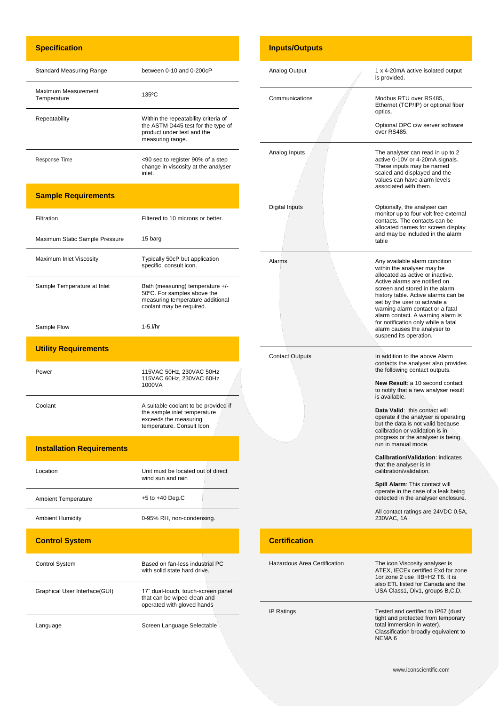#### **Specification**

 $\ddot{\phantom{a}}$ 

L

j.

| <b>Standard Measuring Range</b>    | between $0-10$ and $0-200cP$                                                                                                 |
|------------------------------------|------------------------------------------------------------------------------------------------------------------------------|
| Maximum Measurement<br>Temperature | 135°C                                                                                                                        |
| Repeatability                      | Within the repeatability criteria of<br>the ASTM D445 test for the type of<br>product under test and the<br>measuring range. |
| Response Time                      | <90 sec to register 90% of a step<br>change in viscosity at the analyser<br>inlet.                                           |

#### **Sample Requirements**

| Filtration                       | Filtered to 10 microns or better.                                                                                               |
|----------------------------------|---------------------------------------------------------------------------------------------------------------------------------|
| Maximum Static Sample Pressure   | 15 barg                                                                                                                         |
| Maximum Inlet Viscosity          | Typically 50cP but application<br>specific, consult icon.                                                                       |
| Sample Temperature at Inlet      | Bath (measuring) temperature +/-<br>50°C. For samples above the<br>measuring temperature additional<br>coolant may be required. |
| Sample Flow                      | 1-5.l/hr                                                                                                                        |
| <b>Utility Requirements</b>      |                                                                                                                                 |
| Power                            | 115VAC 50Hz, 230VAC 50Hz<br>115VAC 60Hz, 230VAC 60Hz<br>1000VA                                                                  |
| Coolant                          | A suitable coolant to be provided if<br>the sample inlet temperature<br>exceeds the measuring<br>temperature. Consult Icon      |
| <b>Installation Requirements</b> |                                                                                                                                 |
| Location                         | Unit must be located out of direct<br>wind sun and rain                                                                         |
| <b>Ambient Temperature</b>       | $+5$ to $+40$ Deg.C                                                                                                             |
| <b>Ambient Humidity</b>          | 0-95% RH, non-condensing.                                                                                                       |
| <b>Control System</b>            |                                                                                                                                 |
| <b>Control System</b>            | Based on fan-less industrial PC<br>with solid state hard drive.                                                                 |
| Graphical User Interface(GUI)    | 17" dual-touch, touch-screen panel<br>that can be wiped clean and<br>operated with gloved hands                                 |

Language **Screen Language Selectable** 

|  | <b>Inputs/Outputs</b>               |                                                                                                                                                                                                                                                                                                                                                                                                                      |
|--|-------------------------------------|----------------------------------------------------------------------------------------------------------------------------------------------------------------------------------------------------------------------------------------------------------------------------------------------------------------------------------------------------------------------------------------------------------------------|
|  | Analog Output                       | 1 x 4-20mA active isolated output<br>is provided.                                                                                                                                                                                                                                                                                                                                                                    |
|  | Communications                      | Modbus RTU over RS485,<br>Ethernet (TCP/IP) or optional fiber<br>optics.                                                                                                                                                                                                                                                                                                                                             |
|  |                                     | Optional OPC c/w server software<br>over RS485.                                                                                                                                                                                                                                                                                                                                                                      |
|  | Analog Inputs                       | The analyser can read in up to 2<br>active 0-10V or 4-20mA signals.<br>These inputs may be named<br>scaled and displayed and the<br>values can have alarm levels<br>associated with them.                                                                                                                                                                                                                            |
|  | Digital Inputs                      | Optionally, the analyser can<br>monitor up to four volt free external<br>contacts. The contacts can be<br>allocated names for screen display<br>and may be included in the alarm<br>table                                                                                                                                                                                                                            |
|  | Alarms                              | Any available alarm condition<br>within the analyser may be<br>allocated as active or inactive.<br>Active alarms are notified on<br>screen and stored in the alarm<br>history table. Active alarms can be<br>set by the user to activate a<br>warning alarm contact or a fatal<br>alarm contact. A warning alarm is<br>for notification only while a fatal<br>alarm causes the analyser to<br>suspend its operation. |
|  | <b>Contact Outputs</b>              | In addition to the above Alarm<br>contacts the analyser also provides<br>the following contact outputs.                                                                                                                                                                                                                                                                                                              |
|  |                                     | New Result: a 10 second contact<br>to notify that a new analyser result<br>is available.                                                                                                                                                                                                                                                                                                                             |
|  |                                     | Data Valid: this contact will<br>operate if the analyser is operating<br>but the data is not valid because<br>calibration or validation is in<br>progress or the analyser is being<br>run in manual mode.                                                                                                                                                                                                            |
|  |                                     | <b>Calibration/Validation: indicates</b><br>that the analyser is in<br>calibration/validation.                                                                                                                                                                                                                                                                                                                       |
|  |                                     | Spill Alarm: This contact will<br>operate in the case of a leak being<br>detected in the analyser enclosure.                                                                                                                                                                                                                                                                                                         |
|  |                                     | All contact ratings are 24VDC 0.5A,<br>230VAC. 1A                                                                                                                                                                                                                                                                                                                                                                    |
|  | <b>Certification</b>                |                                                                                                                                                                                                                                                                                                                                                                                                                      |
|  | <b>Hazardous Area Certification</b> | The icon Viscosity analyser is<br>ATEX, IECEx certified Exd for zone<br>1or zone 2 use IIB+H2 T6. It is<br>also ETL listed for Canada and the<br>USA Class1, Div1, groups B,C,D.                                                                                                                                                                                                                                     |
|  | <b>IP Ratings</b>                   | Tested and certified to IP67 (dust<br>tight and protected from temporary<br>total immersion in water).<br>Classification broadly equivalent to                                                                                                                                                                                                                                                                       |

NEMA 6